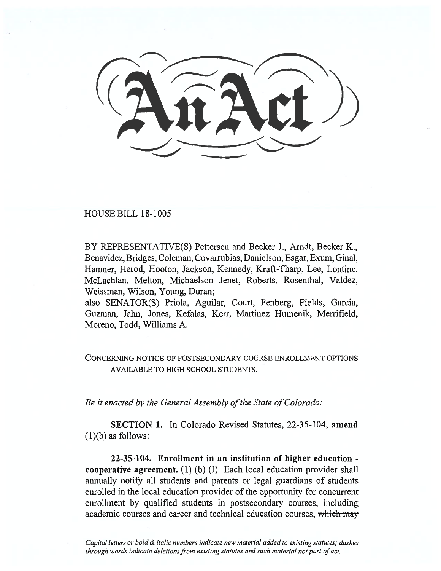HOUSE BILL 18-1005

BY REPRESENTATIVE(S) Pettersen and Becker J., Arndt, Becker K., Benavidez, Bridges, Coleman, Covarrubias, Danielson, Esgar, Exum, Ginal, Hamner, Herod, Hooton, Jackson, Kennedy, Kraft-Tharp, Lee, Lontine, McLachlan, Melton, Michaelson Jenet, Roberts, Rosenthal, Valdez, Weissman, Wilson, Young, Duran;

also SENATOR(S) Priola, Aguilar, Court, Fenberg, Fields, Garcia, Guzman, Jahn, Jones, Kefalas, Kerr, Martinez Humenik, Merrifield, Moreno, Todd, Williams A.

## CONCERNING NOTICE OF POSTSECONDARY COURSE ENROLLMENT OPTIONS AVAILABLE TO HIGH SCHOOL STUDENTS.

*Be it enacted by the General Assembly of the State of Colorado:* 

**SECTION 1.** In Colorado Revised Statutes, 22-35-104, **amend**   $(1)(b)$  as follows:

**22-35-104. Enrollment in an institution of higher education cooperative agreement.** (1) (b) (I) Each local education provider shall annually notify all students and parents or legal guardians of students enrolled in the local education provider of the opportunity for concurrent enrollment by qualified students in postsecondary courses, including academic courses and career and technical education courses, which m*ay* 

*Capital letters or bold & italic numbers indicate new material added to existing statutes; dashes through words indicate deletions from existing statutes and such material not part of act.*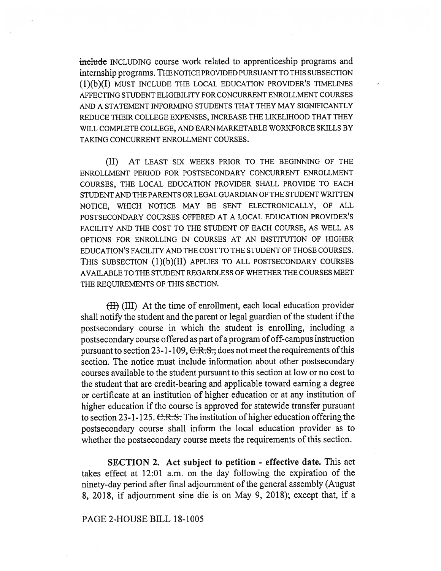**include** INCLUDING course work related to apprenticeship programs and internship programs. THE NOTICE PROVIDED PURSUANT TO THIS SUBSECTION **(1)(b)(I)** MUST INCLUDE THE LOCAL EDUCATION PROVIDER'S TIMELINES AFFECTING STUDENT ELIGIBILITY FOR CONCURRENT ENROLLMENT COURSES AND A STATEMENT INFORMING STUDENTS THAT THEY MAY SIGNIFICANTLY REDUCE THEIR COLLEGE EXPENSES, INCREASE THE LIKELIHOOD THAT THEY WILL COMPLETE COLLEGE, AND EARN MARKETABLE WORKFORCE SKILLS BY TAKING CONCURRENT ENROLLMENT COURSES.

(II) AT LEAST SIX WEEKS PRIOR TO THE BEGINNING OF THE ENROLLMENT PERIOD FOR POSTSECONDARY CONCURRENT ENROLLMENT COURSES, THE LOCAL EDUCATION PROVIDER SHALL PROVIDE TO EACH STUDENT AND THE PARENTS OR LEGAL GUARDIAN OF THE STUDENT WRITTEN NOTICE, WHICH NOTICE MAY BE SENT ELECTRONICALLY, OF ALL POSTSECONDARY COURSES OFFERED AT A LOCAL EDUCATION PROVIDER'S FACILITY AND THE COST TO THE STUDENT OF EACH COURSE, AS WELL AS OPTIONS FOR ENROLLING IN COURSES AT AN INSTITUTION OF HIGHER EDUCATION'S FACILITY AND THE COST TO THE STUDENT OF THOSE COURSES. THIS SUBSECTION **(1)(b)(II)** APPLIES TO ALL POSTSECONDARY COURSES AVAILABLE TO THE STUDENT REGARDLESS OF WHETHER THE COURSES MEET THE REQUIREMENTS OF THIS SECTION.

H) (III) At the time of enrollment, each local education provider shall notify the student and the parent or legal guardian of the student if the postsecondary course in which the student is enrolling, including a postsecondary course offered as part of a program of off-campus instruction pursuant to section 23-1-109,  $C.R.S.,$  does not meet the requirements of this section. The notice must include information about other postsecondary courses available to the student pursuant to this section at low or no cost to the student that are credit-bearing and applicable toward earning a degree or certificate at an institution of higher education or at any institution of higher education if the course is approved for statewide transfer pursuant to section 23-1-125. C.R.S. The institution of higher education offering the postsecondary course shall inform the local education provider as to whether the postsecondary course meets the requirements of this section.

**SECTION 2. Act subject to petition - effective date.** This act takes effect at 12:01 a.m. on the day following the expiration of the ninety-day period after final adjournment of the general assembly (August 8, 2018, if adjournment sine die is on May 9, 2018); except that, if a

PAGE 2-HOUSE BILL 18-1005